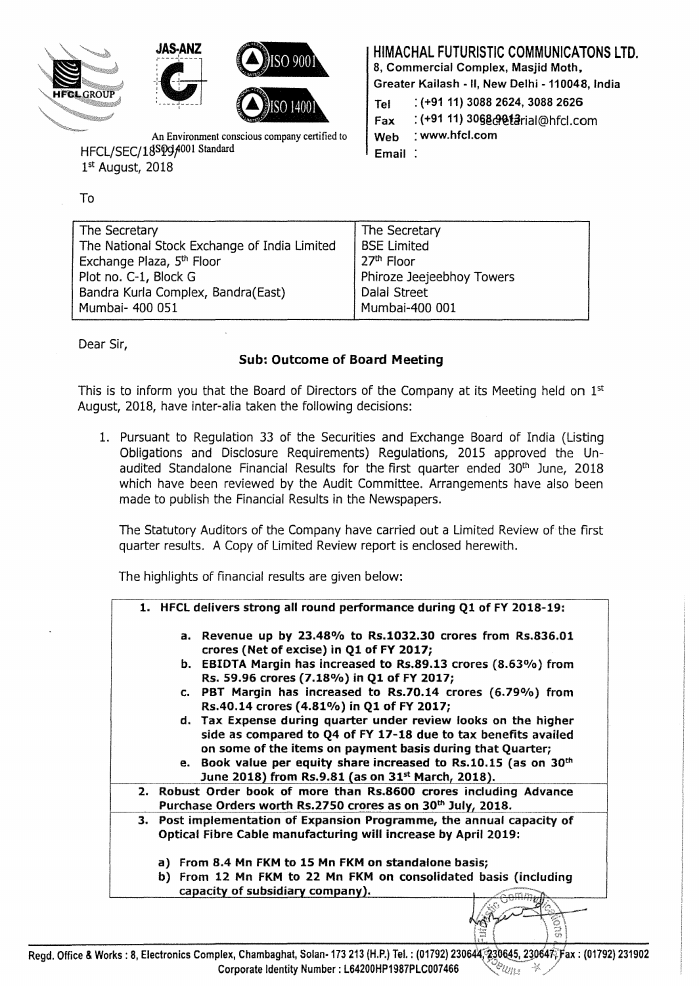

An Environment conscious company certified to HFCL/SEC/18SQg4001 Standard  $1<sup>st</sup>$  August, 2018

## HIMACHAL FUTURISTIC COMMUNICATONS LTD.

8, Commercial Complex, Masjid Moth.

Greater Kailash - II, New Delhi - 110048, India

Tel : (+9111) 3088 2624, 3088 2626  $Fax$  : (+91 11) 3068 $Q$ **Q**tarial@hfcl.com

Web : www.hfcl.com

Email:

To

| The Secretary                                | The Secretary             |
|----------------------------------------------|---------------------------|
| The National Stock Exchange of India Limited | <b>BSE Limited</b>        |
| Exchange Plaza, 5th Floor                    | 27 <sup>th</sup> Floor    |
| Plot no. C-1, Block G                        | Phiroze Jeejeebhoy Towers |
| Bandra Kurla Complex, Bandra(East)           | Dalal Street              |
| Mumbai- 400 051                              | Mumbai-400 001            |

Dear Sir,

## Sub: Outcome of Board Meeting

This is to inform you that the Board of Directors of the Company at its Meeting held on  $1<sup>st</sup>$ August, 2018, have inter-alia taken the following decisions:

1. Pursuant to Regulation 33 of the Securities and Exchange Board of India (Listing Obligations and Disclosure Requirements) Regulations, 2015 approved the Unaudited Standalone Financial Results for the first quarter ended 30<sup>th</sup> June, 2018 which have been reviewed by the Audit Committee. Arrangements have also been made to publish the Financial Results in the Newspapers.

The Statutory Auditors of the Company have carried out a Limited Review of the first quarter results. A Copy of Limited Review report is enclosed herewith.

The highlights of financial results are given below:

| 1. HFCL delivers strong all round performance during Q1 of FY 2018-19:                                                                                                                                                                                             |
|--------------------------------------------------------------------------------------------------------------------------------------------------------------------------------------------------------------------------------------------------------------------|
| a. Revenue up by 23.48% to Rs.1032.30 crores from Rs.836.01<br>crores (Net of excise) in Q1 of FY 2017;                                                                                                                                                            |
| b. EBIDTA Margin has increased to Rs.89.13 crores (8.63%) from<br>Rs. 59.96 crores (7.18%) in Q1 of FY 2017;                                                                                                                                                       |
| c. PBT Margin has increased to Rs.70.14 crores (6.79%) from<br>Rs.40.14 crores (4.81%) in Q1 of FY 2017;                                                                                                                                                           |
| d. Tax Expense during quarter under review looks on the higher<br>side as compared to Q4 of FY 17-18 due to tax benefits availed<br>on some of the items on payment basis during that Quarter;<br>e. Book value per equity share increased to Rs.10.15 (as on 30th |
| June 2018) from Rs.9.81 (as on 31 <sup>st</sup> March, 2018).<br>2. Robust Order book of more than Rs.8600 crores including Advance                                                                                                                                |
| Purchase Orders worth Rs.2750 crores as on 30 <sup>th</sup> July, 2018.                                                                                                                                                                                            |
| 3. Post implementation of Expansion Programme, the annual capacity of<br>Optical Fibre Cable manufacturing will increase by April 2019:                                                                                                                            |
| a) From 8.4 Mn FKM to 15 Mn FKM on standalone basis;                                                                                                                                                                                                               |
| b) From 12 Mn FKM to 22 Mn FKM on consolidated basis (including<br>capacity of subsidiary company).                                                                                                                                                                |